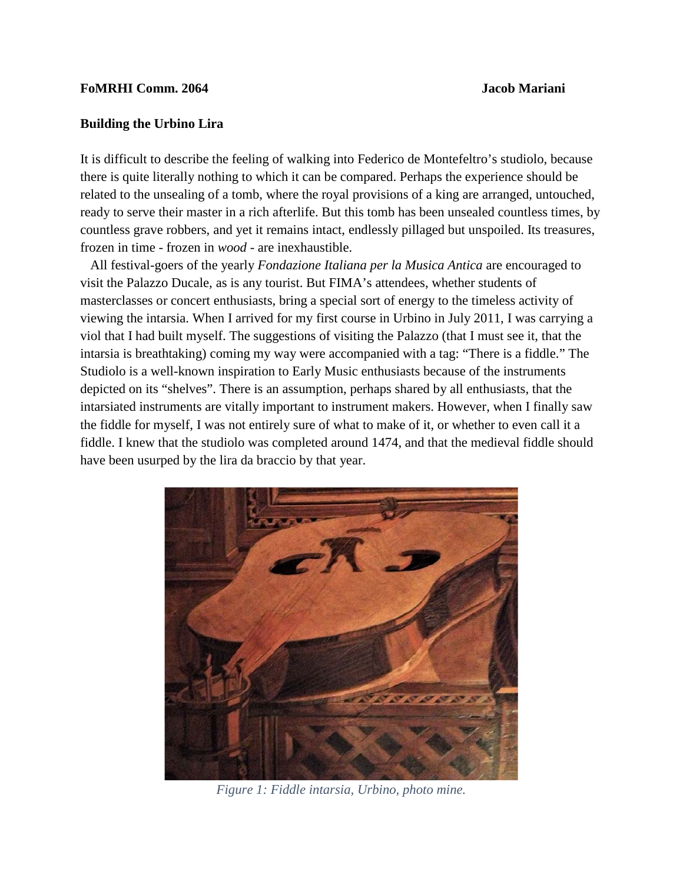#### **FoMRHI Comm. 2064 Jacob Mariani**

### **Building the Urbino Lira**

It is difficult to describe the feeling of walking into Federico de Montefeltro's studiolo, because there is quite literally nothing to which it can be compared. Perhaps the experience should be related to the unsealing of a tomb, where the royal provisions of a king are arranged, untouched, ready to serve their master in a rich afterlife. But this tomb has been unsealed countless times, by countless grave robbers, and yet it remains intact, endlessly pillaged but unspoiled. Its treasures, frozen in time - frozen in *wood* - are inexhaustible.

 All festival-goers of the yearly *Fondazione Italiana per la Musica Antica* are encouraged to visit the Palazzo Ducale, as is any tourist. But FIMA's attendees, whether students of masterclasses or concert enthusiasts, bring a special sort of energy to the timeless activity of viewing the intarsia. When I arrived for my first course in Urbino in July 2011, I was carrying a viol that I had built myself. The suggestions of visiting the Palazzo (that I must see it, that the intarsia is breathtaking) coming my way were accompanied with a tag: "There is a fiddle." The Studiolo is a well-known inspiration to Early Music enthusiasts because of the instruments depicted on its "shelves". There is an assumption, perhaps shared by all enthusiasts, that the intarsiated instruments are vitally important to instrument makers. However, when I finally saw the fiddle for myself, I was not entirely sure of what to make of it, or whether to even call it a fiddle. I knew that the studiolo was completed around 1474, and that the medieval fiddle should have been usurped by the lira da braccio by that year.



*Figure 1: Fiddle intarsia, Urbino, photo mine.*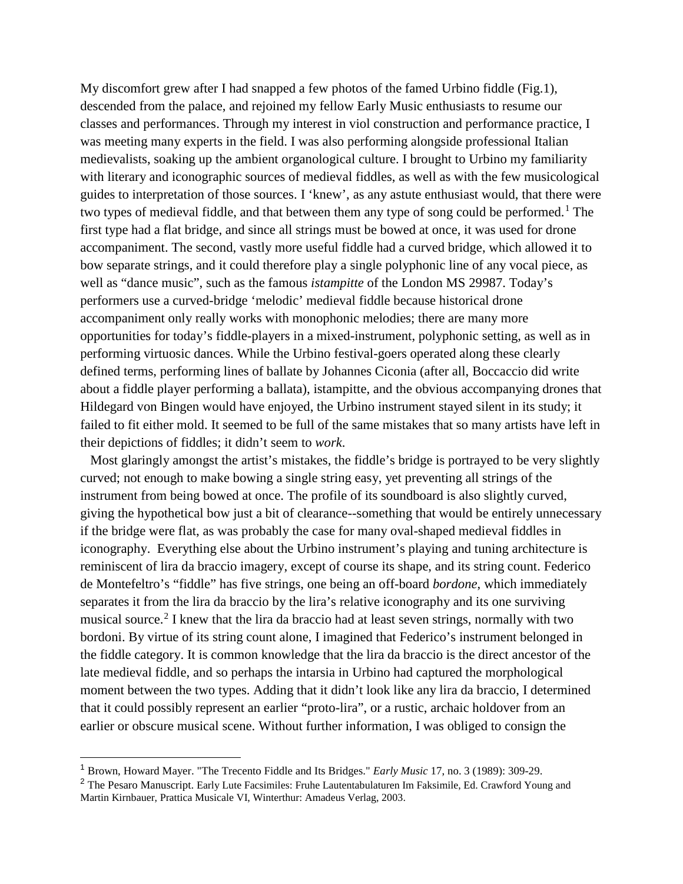My discomfort grew after I had snapped a few photos of the famed Urbino fiddle (Fig.1), descended from the palace, and rejoined my fellow Early Music enthusiasts to resume our classes and performances. Through my interest in viol construction and performance practice, I was meeting many experts in the field. I was also performing alongside professional Italian medievalists, soaking up the ambient organological culture. I brought to Urbino my familiarity with literary and iconographic sources of medieval fiddles, as well as with the few musicological guides to interpretation of those sources. I 'knew', as any astute enthusiast would, that there were two types of medieval fiddle, and that between them any type of song could be performed.<sup>[1](#page-1-0)</sup> The first type had a flat bridge, and since all strings must be bowed at once, it was used for drone accompaniment. The second, vastly more useful fiddle had a curved bridge, which allowed it to bow separate strings, and it could therefore play a single polyphonic line of any vocal piece, as well as "dance music", such as the famous *istampitte* of the London MS 29987. Today's performers use a curved-bridge 'melodic' medieval fiddle because historical drone accompaniment only really works with monophonic melodies; there are many more opportunities for today's fiddle-players in a mixed-instrument, polyphonic setting, as well as in performing virtuosic dances. While the Urbino festival-goers operated along these clearly defined terms, performing lines of ballate by Johannes Ciconia (after all, Boccaccio did write about a fiddle player performing a ballata), istampitte, and the obvious accompanying drones that Hildegard von Bingen would have enjoyed, the Urbino instrument stayed silent in its study; it failed to fit either mold. It seemed to be full of the same mistakes that so many artists have left in their depictions of fiddles; it didn't seem to *work*.

 Most glaringly amongst the artist's mistakes, the fiddle's bridge is portrayed to be very slightly curved; not enough to make bowing a single string easy, yet preventing all strings of the instrument from being bowed at once. The profile of its soundboard is also slightly curved, giving the hypothetical bow just a bit of clearance--something that would be entirely unnecessary if the bridge were flat, as was probably the case for many oval-shaped medieval fiddles in iconography. Everything else about the Urbino instrument's playing and tuning architecture is reminiscent of lira da braccio imagery, except of course its shape, and its string count. Federico de Montefeltro's "fiddle" has five strings, one being an off-board *bordone*, which immediately separates it from the lira da braccio by the lira's relative iconography and its one surviving musical source.<sup>[2](#page-1-1)</sup> I knew that the lira da braccio had at least seven strings, normally with two bordoni. By virtue of its string count alone, I imagined that Federico's instrument belonged in the fiddle category. It is common knowledge that the lira da braccio is the direct ancestor of the late medieval fiddle, and so perhaps the intarsia in Urbino had captured the morphological moment between the two types. Adding that it didn't look like any lira da braccio, I determined that it could possibly represent an earlier "proto-lira", or a rustic, archaic holdover from an earlier or obscure musical scene. Without further information, I was obliged to consign the

<span id="page-1-0"></span> <sup>1</sup> Brown, Howard Mayer. "The Trecento Fiddle and Its Bridges." *Early Music* 17, no. 3 (1989): 309-29.

<span id="page-1-1"></span><sup>&</sup>lt;sup>2</sup> The Pesaro Manuscript. Early Lute Facsimiles: Fruhe Lautentabulaturen Im Faksimile, Ed. Crawford Young and Martin Kirnbauer, Prattica Musicale VI, Winterthur: Amadeus Verlag, 2003.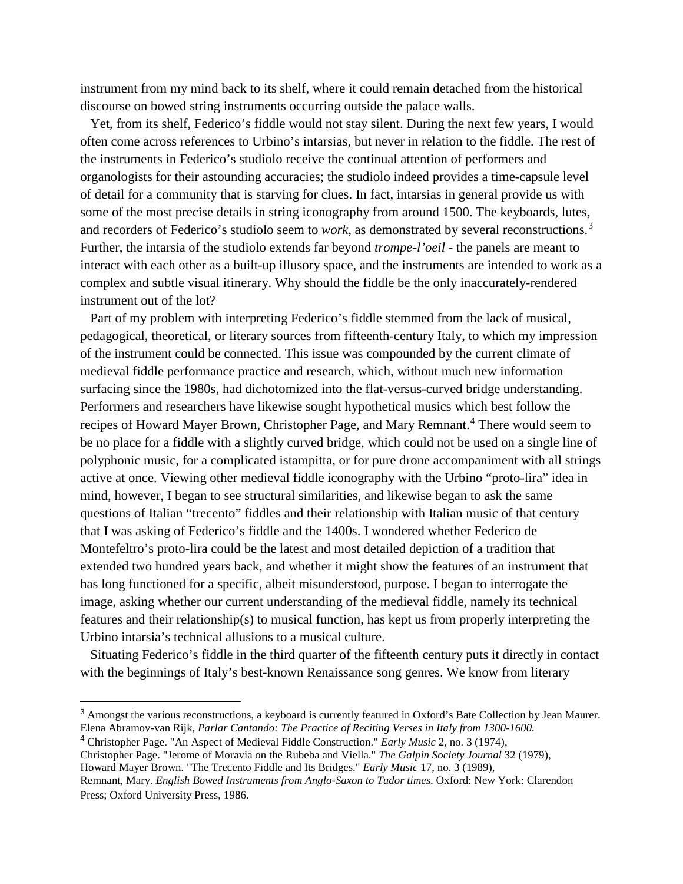instrument from my mind back to its shelf, where it could remain detached from the historical discourse on bowed string instruments occurring outside the palace walls.

 Yet, from its shelf, Federico's fiddle would not stay silent. During the next few years, I would often come across references to Urbino's intarsias, but never in relation to the fiddle. The rest of the instruments in Federico's studiolo receive the continual attention of performers and organologists for their astounding accuracies; the studiolo indeed provides a time-capsule level of detail for a community that is starving for clues. In fact, intarsias in general provide us with some of the most precise details in string iconography from around 1500. The keyboards, lutes, and recorders of Federico's studiolo seem to *work*, as demonstrated by several reconstructions.<sup>[3](#page-2-0)</sup> Further, the intarsia of the studiolo extends far beyond *trompe-l'oeil* - the panels are meant to interact with each other as a built-up illusory space, and the instruments are intended to work as a complex and subtle visual itinerary. Why should the fiddle be the only inaccurately-rendered instrument out of the lot?

 Part of my problem with interpreting Federico's fiddle stemmed from the lack of musical, pedagogical, theoretical, or literary sources from fifteenth-century Italy, to which my impression of the instrument could be connected. This issue was compounded by the current climate of medieval fiddle performance practice and research, which, without much new information surfacing since the 1980s, had dichotomized into the flat-versus-curved bridge understanding. Performers and researchers have likewise sought hypothetical musics which best follow the recipes of Howard Mayer Brown, Christopher Page, and Mary Remnant.<sup>[4](#page-2-1)</sup> There would seem to be no place for a fiddle with a slightly curved bridge, which could not be used on a single line of polyphonic music, for a complicated istampitta, or for pure drone accompaniment with all strings active at once. Viewing other medieval fiddle iconography with the Urbino "proto-lira" idea in mind, however, I began to see structural similarities, and likewise began to ask the same questions of Italian "trecento" fiddles and their relationship with Italian music of that century that I was asking of Federico's fiddle and the 1400s. I wondered whether Federico de Montefeltro's proto-lira could be the latest and most detailed depiction of a tradition that extended two hundred years back, and whether it might show the features of an instrument that has long functioned for a specific, albeit misunderstood, purpose. I began to interrogate the image, asking whether our current understanding of the medieval fiddle, namely its technical features and their relationship(s) to musical function, has kept us from properly interpreting the Urbino intarsia's technical allusions to a musical culture.

 Situating Federico's fiddle in the third quarter of the fifteenth century puts it directly in contact with the beginnings of Italy's best-known Renaissance song genres. We know from literary

<span id="page-2-0"></span> <sup>3</sup> Amongst the various reconstructions, a keyboard is currently featured in Oxford's Bate Collection by Jean Maurer. Elena Abramov-van Rijk, *Parlar Cantando: The Practice of Reciting Verses in Italy from 1300-1600.*

<span id="page-2-1"></span><sup>4</sup> Christopher Page. "An Aspect of Medieval Fiddle Construction." *Early Music* 2, no. 3 (1974),

Christopher Page. "Jerome of Moravia on the Rubeba and Viella." *The Galpin Society Journal* 32 (1979),

Howard Mayer Brown. "The Trecento Fiddle and Its Bridges." *Early Music* 17, no. 3 (1989),

Remnant, Mary. *English Bowed Instruments from Anglo-Saxon to Tudor times*. Oxford: New York: Clarendon Press; Oxford University Press, 1986.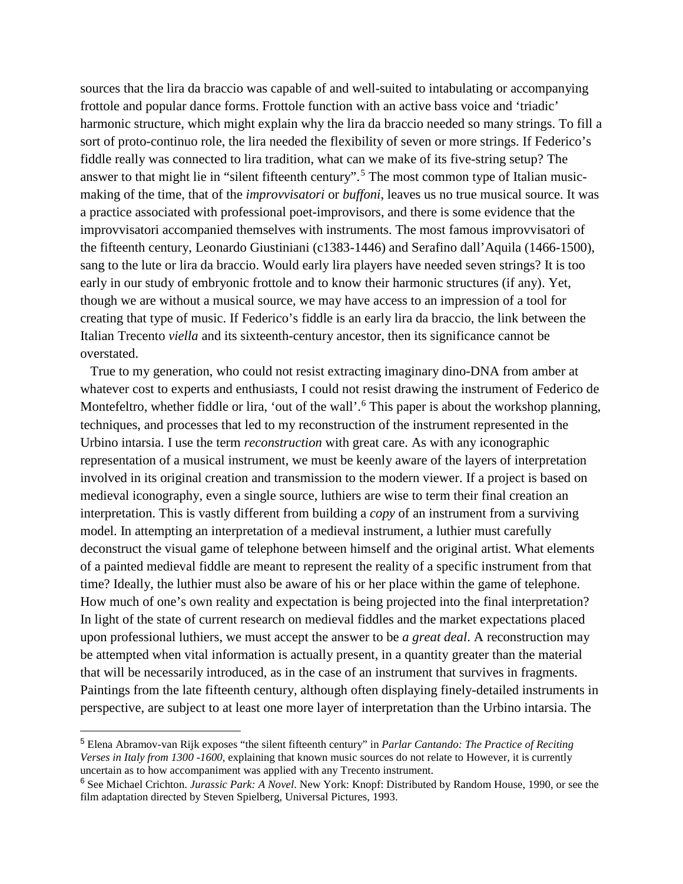sources that the lira da braccio was capable of and well-suited to intabulating or accompanying frottole and popular dance forms. Frottole function with an active bass voice and 'triadic' harmonic structure, which might explain why the lira da braccio needed so many strings. To fill a sort of proto-continuo role, the lira needed the flexibility of seven or more strings. If Federico's fiddle really was connected to lira tradition, what can we make of its five-string setup? The answer to that might lie in "silent fifteenth century".<sup>[5](#page-3-0)</sup> The most common type of Italian musicmaking of the time, that of the *improvvisatori* or *buffoni*, leaves us no true musical source. It was a practice associated with professional poet-improvisors, and there is some evidence that the improvvisatori accompanied themselves with instruments. The most famous improvvisatori of the fifteenth century, Leonardo Giustiniani (c1383-1446) and Serafino dall'Aquila (1466-1500), sang to the lute or lira da braccio. Would early lira players have needed seven strings? It is too early in our study of embryonic frottole and to know their harmonic structures (if any). Yet, though we are without a musical source, we may have access to an impression of a tool for creating that type of music. If Federico's fiddle is an early lira da braccio, the link between the Italian Trecento *viella* and its sixteenth-century ancestor, then its significance cannot be overstated.

 True to my generation, who could not resist extracting imaginary dino-DNA from amber at whatever cost to experts and enthusiasts, I could not resist drawing the instrument of Federico de Montefeltro, whether fiddle or lira, 'out of the wall'.<sup>[6](#page-3-1)</sup> This paper is about the workshop planning, techniques, and processes that led to my reconstruction of the instrument represented in the Urbino intarsia. I use the term *reconstruction* with great care. As with any iconographic representation of a musical instrument, we must be keenly aware of the layers of interpretation involved in its original creation and transmission to the modern viewer. If a project is based on medieval iconography, even a single source, luthiers are wise to term their final creation an interpretation. This is vastly different from building a *copy* of an instrument from a surviving model. In attempting an interpretation of a medieval instrument, a luthier must carefully deconstruct the visual game of telephone between himself and the original artist. What elements of a painted medieval fiddle are meant to represent the reality of a specific instrument from that time? Ideally, the luthier must also be aware of his or her place within the game of telephone. How much of one's own reality and expectation is being projected into the final interpretation? In light of the state of current research on medieval fiddles and the market expectations placed upon professional luthiers, we must accept the answer to be *a great deal*. A reconstruction may be attempted when vital information is actually present, in a quantity greater than the material that will be necessarily introduced, as in the case of an instrument that survives in fragments. Paintings from the late fifteenth century, although often displaying finely-detailed instruments in perspective, are subject to at least one more layer of interpretation than the Urbino intarsia. The

<span id="page-3-0"></span> <sup>5</sup> Elena Abramov-van Rijk exposes "the silent fifteenth century" in *Parlar Cantando: The Practice of Reciting Verses in Italy from 1300 -1600*, explaining that known music sources do not relate to However, it is currently uncertain as to how accompaniment was applied with any Trecento instrument.

<span id="page-3-1"></span><sup>6</sup> See Michael Crichton. *Jurassic Park: A Novel*. New York: Knopf: Distributed by Random House, 1990, or see the film adaptation directed by Steven Spielberg, Universal Pictures, 1993.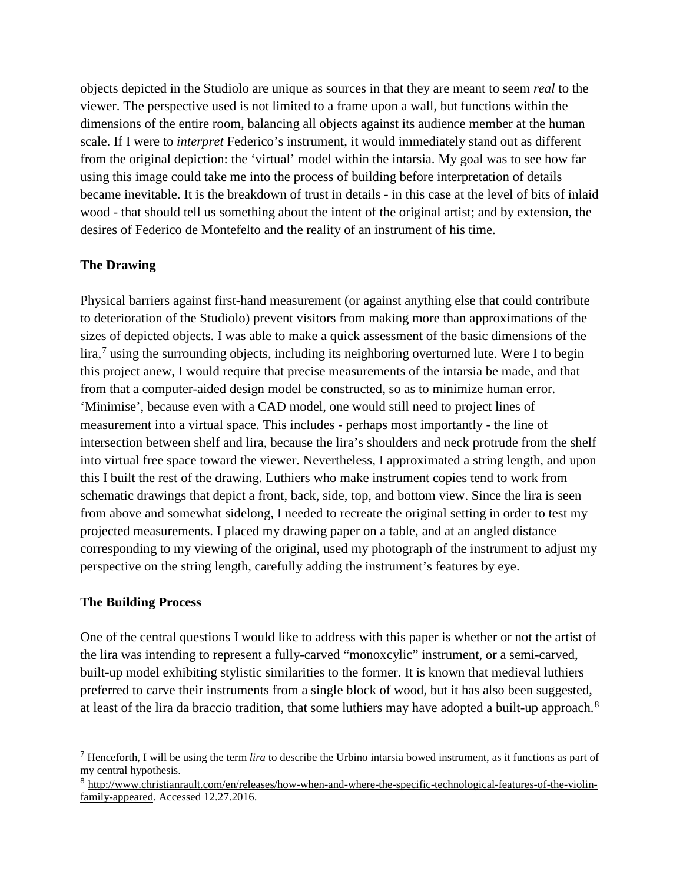objects depicted in the Studiolo are unique as sources in that they are meant to seem *real* to the viewer. The perspective used is not limited to a frame upon a wall, but functions within the dimensions of the entire room, balancing all objects against its audience member at the human scale. If I were to *interpret* Federico's instrument, it would immediately stand out as different from the original depiction: the 'virtual' model within the intarsia. My goal was to see how far using this image could take me into the process of building before interpretation of details became inevitable. It is the breakdown of trust in details - in this case at the level of bits of inlaid wood - that should tell us something about the intent of the original artist; and by extension, the desires of Federico de Montefelto and the reality of an instrument of his time.

## **The Drawing**

Physical barriers against first-hand measurement (or against anything else that could contribute to deterioration of the Studiolo) prevent visitors from making more than approximations of the sizes of depicted objects. I was able to make a quick assessment of the basic dimensions of the lira,<sup>[7](#page-4-0)</sup> using the surrounding objects, including its neighboring overturned lute. Were I to begin this project anew, I would require that precise measurements of the intarsia be made, and that from that a computer-aided design model be constructed, so as to minimize human error. 'Minimise', because even with a CAD model, one would still need to project lines of measurement into a virtual space. This includes - perhaps most importantly - the line of intersection between shelf and lira, because the lira's shoulders and neck protrude from the shelf into virtual free space toward the viewer. Nevertheless, I approximated a string length, and upon this I built the rest of the drawing. Luthiers who make instrument copies tend to work from schematic drawings that depict a front, back, side, top, and bottom view. Since the lira is seen from above and somewhat sidelong, I needed to recreate the original setting in order to test my projected measurements. I placed my drawing paper on a table, and at an angled distance corresponding to my viewing of the original, used my photograph of the instrument to adjust my perspective on the string length, carefully adding the instrument's features by eye.

### **The Building Process**

One of the central questions I would like to address with this paper is whether or not the artist of the lira was intending to represent a fully-carved "monoxcylic" instrument, or a semi-carved, built-up model exhibiting stylistic similarities to the former. It is known that medieval luthiers preferred to carve their instruments from a single block of wood, but it has also been suggested, at least of the lira da braccio tradition, that some luthiers may have adopted a built-up approach.<sup>[8](#page-4-1)</sup>

<span id="page-4-0"></span> <sup>7</sup> Henceforth, I will be using the term *lira* to describe the Urbino intarsia bowed instrument, as it functions as part of my central hypothesis.

<span id="page-4-1"></span><sup>8</sup> [http://www.christianrault.com/en/releases/how-when-and-where-the-specific-technological-features-of-the-violin](http://www.christianrault.com/en/releases/how-when-and-where-the-specific-technological-features-of-the-violin-family-appeared)[family-appeared.](http://www.christianrault.com/en/releases/how-when-and-where-the-specific-technological-features-of-the-violin-family-appeared) Accessed 12.27.2016.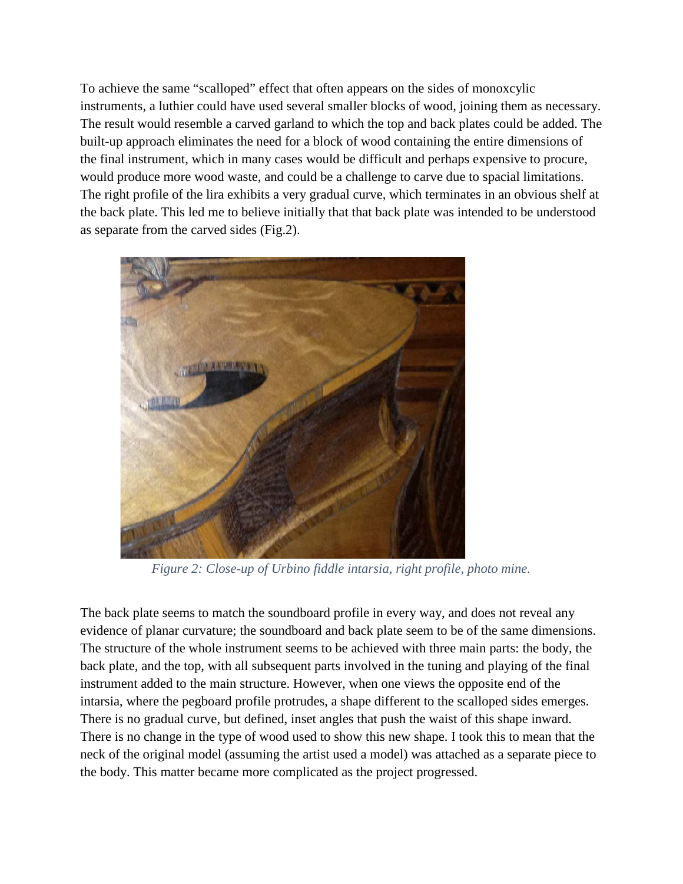To achieve the same "scalloped" effect that often appears on the sides of monoxcylic instruments, a luthier could have used several smaller blocks of wood, joining them as necessary. The result would resemble a carved garland to which the top and back plates could be added. The built-up approach eliminates the need for a block of wood containing the entire dimensions of the final instrument, which in many cases would be difficult and perhaps expensive to procure, would produce more wood waste, and could be a challenge to carve due to spacial limitations. The right profile of the lira exhibits a very gradual curve, which terminates in an obvious shelf at the back plate. This led me to believe initially that that back plate was intended to be understood as separate from the carved sides (Fig.2).



*Figure 2: Close-up of Urbino fiddle intarsia, right profile, photo mine.*

The back plate seems to match the soundboard profile in every way, and does not reveal any evidence of planar curvature; the soundboard and back plate seem to be of the same dimensions. The structure of the whole instrument seems to be achieved with three main parts: the body, the back plate, and the top, with all subsequent parts involved in the tuning and playing of the final instrument added to the main structure. However, when one views the opposite end of the intarsia, where the pegboard profile protrudes, a shape different to the scalloped sides emerges. There is no gradual curve, but defined, inset angles that push the waist of this shape inward. There is no change in the type of wood used to show this new shape. I took this to mean that the neck of the original model (assuming the artist used a model) was attached as a separate piece to the body. This matter became more complicated as the project progressed.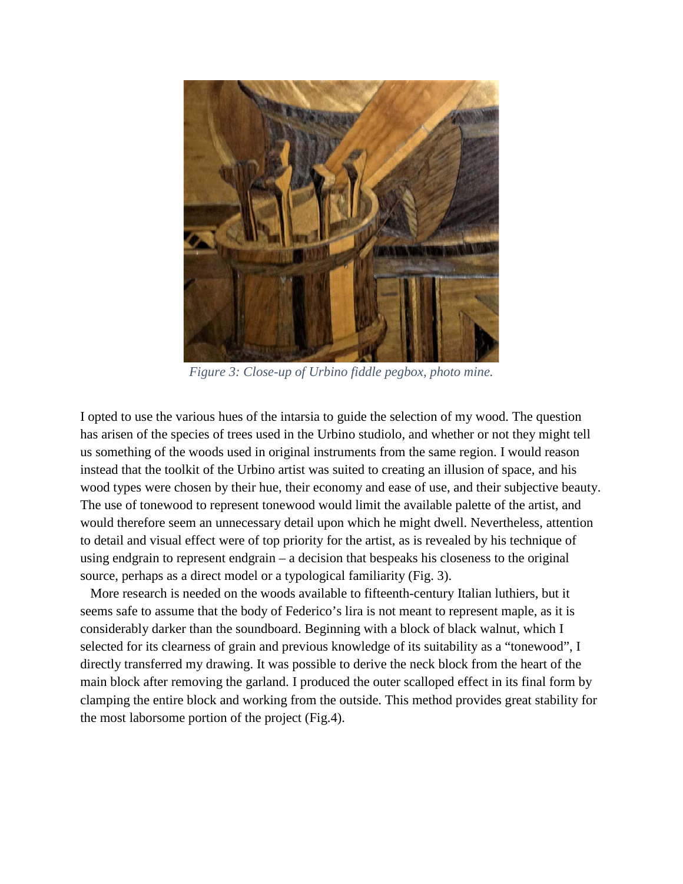

*Figure 3: Close-up of Urbino fiddle pegbox, photo mine.*

I opted to use the various hues of the intarsia to guide the selection of my wood. The question has arisen of the species of trees used in the Urbino studiolo, and whether or not they might tell us something of the woods used in original instruments from the same region. I would reason instead that the toolkit of the Urbino artist was suited to creating an illusion of space, and his wood types were chosen by their hue, their economy and ease of use, and their subjective beauty. The use of tonewood to represent tonewood would limit the available palette of the artist, and would therefore seem an unnecessary detail upon which he might dwell. Nevertheless, attention to detail and visual effect were of top priority for the artist, as is revealed by his technique of using endgrain to represent endgrain – a decision that bespeaks his closeness to the original source, perhaps as a direct model or a typological familiarity (Fig. 3).

 More research is needed on the woods available to fifteenth-century Italian luthiers, but it seems safe to assume that the body of Federico's lira is not meant to represent maple, as it is considerably darker than the soundboard. Beginning with a block of black walnut, which I selected for its clearness of grain and previous knowledge of its suitability as a "tonewood", I directly transferred my drawing. It was possible to derive the neck block from the heart of the main block after removing the garland. I produced the outer scalloped effect in its final form by clamping the entire block and working from the outside. This method provides great stability for the most laborsome portion of the project (Fig.4).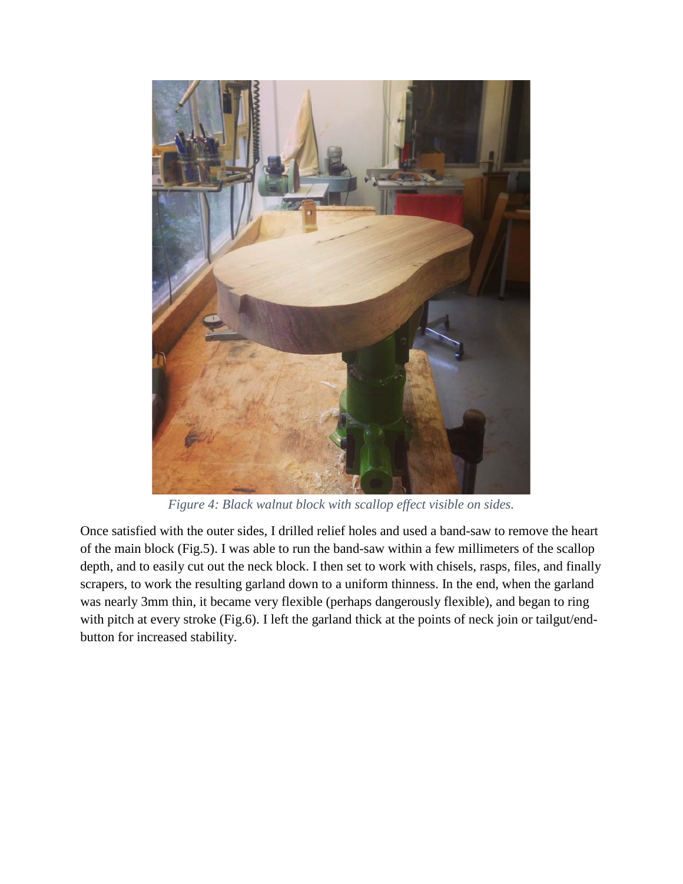

*Figure 4: Black walnut block with scallop effect visible on sides.*

Once satisfied with the outer sides, I drilled relief holes and used a band-saw to remove the heart of the main block (Fig.5). I was able to run the band-saw within a few millimeters of the scallop depth, and to easily cut out the neck block. I then set to work with chisels, rasps, files, and finally scrapers, to work the resulting garland down to a uniform thinness. In the end, when the garland was nearly 3mm thin, it became very flexible (perhaps dangerously flexible), and began to ring with pitch at every stroke (Fig.6). I left the garland thick at the points of neck join or tailgut/endbutton for increased stability.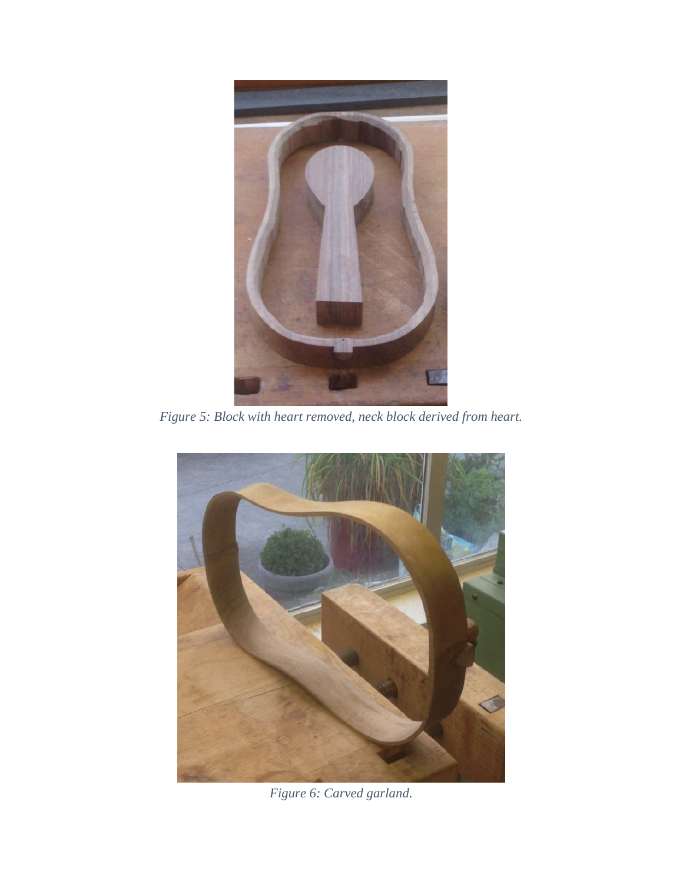

*Figure 5: Block with heart removed, neck block derived from heart.*



*Figure 6: Carved garland.*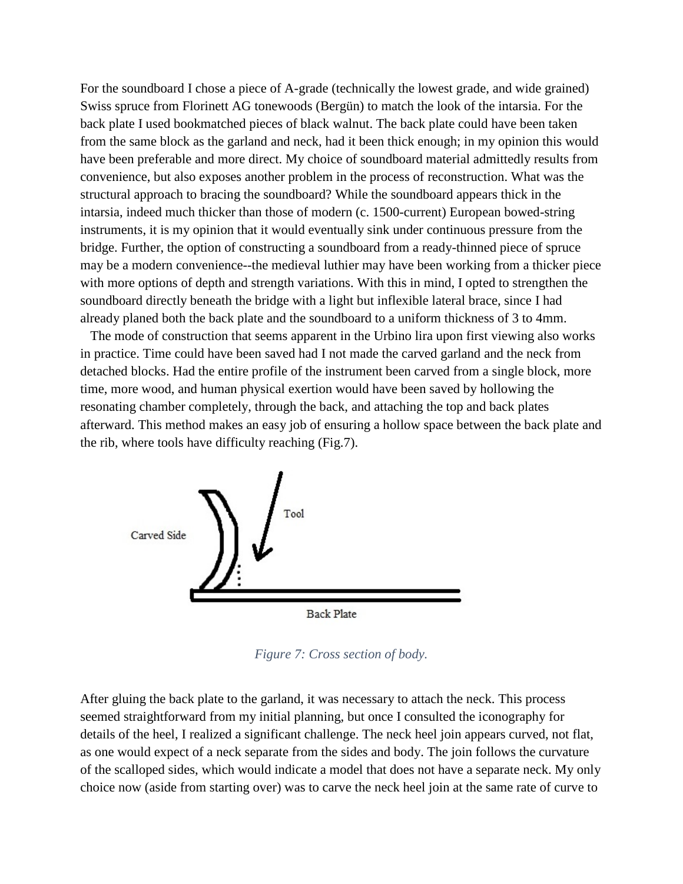For the soundboard I chose a piece of A-grade (technically the lowest grade, and wide grained) Swiss spruce from Florinett AG tonewoods (Bergün) to match the look of the intarsia. For the back plate I used bookmatched pieces of black walnut. The back plate could have been taken from the same block as the garland and neck, had it been thick enough; in my opinion this would have been preferable and more direct. My choice of soundboard material admittedly results from convenience, but also exposes another problem in the process of reconstruction. What was the structural approach to bracing the soundboard? While the soundboard appears thick in the intarsia, indeed much thicker than those of modern (c. 1500-current) European bowed-string instruments, it is my opinion that it would eventually sink under continuous pressure from the bridge. Further, the option of constructing a soundboard from a ready-thinned piece of spruce may be a modern convenience--the medieval luthier may have been working from a thicker piece with more options of depth and strength variations. With this in mind, I opted to strengthen the soundboard directly beneath the bridge with a light but inflexible lateral brace, since I had already planed both the back plate and the soundboard to a uniform thickness of 3 to 4mm.

 The mode of construction that seems apparent in the Urbino lira upon first viewing also works in practice. Time could have been saved had I not made the carved garland and the neck from detached blocks. Had the entire profile of the instrument been carved from a single block, more time, more wood, and human physical exertion would have been saved by hollowing the resonating chamber completely, through the back, and attaching the top and back plates afterward. This method makes an easy job of ensuring a hollow space between the back plate and the rib, where tools have difficulty reaching (Fig.7).



*Figure 7: Cross section of body.*

After gluing the back plate to the garland, it was necessary to attach the neck. This process seemed straightforward from my initial planning, but once I consulted the iconography for details of the heel, I realized a significant challenge. The neck heel join appears curved, not flat, as one would expect of a neck separate from the sides and body. The join follows the curvature of the scalloped sides, which would indicate a model that does not have a separate neck. My only choice now (aside from starting over) was to carve the neck heel join at the same rate of curve to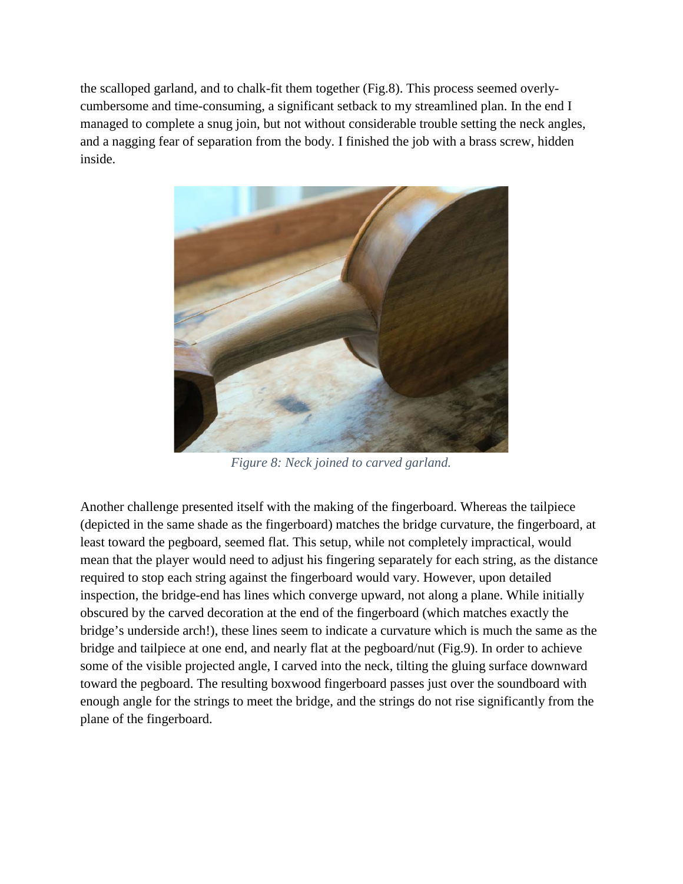the scalloped garland, and to chalk-fit them together (Fig.8). This process seemed overlycumbersome and time-consuming, a significant setback to my streamlined plan. In the end I managed to complete a snug join, but not without considerable trouble setting the neck angles, and a nagging fear of separation from the body. I finished the job with a brass screw, hidden inside.



*Figure 8: Neck joined to carved garland.*

Another challenge presented itself with the making of the fingerboard. Whereas the tailpiece (depicted in the same shade as the fingerboard) matches the bridge curvature, the fingerboard, at least toward the pegboard, seemed flat. This setup, while not completely impractical, would mean that the player would need to adjust his fingering separately for each string, as the distance required to stop each string against the fingerboard would vary. However, upon detailed inspection, the bridge-end has lines which converge upward, not along a plane. While initially obscured by the carved decoration at the end of the fingerboard (which matches exactly the bridge's underside arch!), these lines seem to indicate a curvature which is much the same as the bridge and tailpiece at one end, and nearly flat at the pegboard/nut (Fig.9). In order to achieve some of the visible projected angle, I carved into the neck, tilting the gluing surface downward toward the pegboard. The resulting boxwood fingerboard passes just over the soundboard with enough angle for the strings to meet the bridge, and the strings do not rise significantly from the plane of the fingerboard.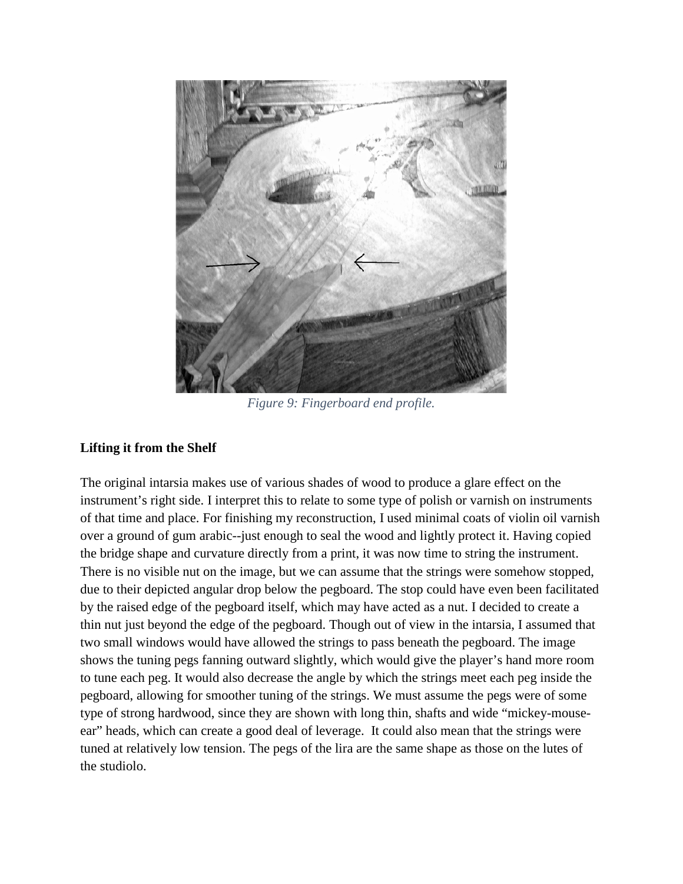

*Figure 9: Fingerboard end profile.*

# **Lifting it from the Shelf**

The original intarsia makes use of various shades of wood to produce a glare effect on the instrument's right side. I interpret this to relate to some type of polish or varnish on instruments of that time and place. For finishing my reconstruction, I used minimal coats of violin oil varnish over a ground of gum arabic--just enough to seal the wood and lightly protect it. Having copied the bridge shape and curvature directly from a print, it was now time to string the instrument. There is no visible nut on the image, but we can assume that the strings were somehow stopped, due to their depicted angular drop below the pegboard. The stop could have even been facilitated by the raised edge of the pegboard itself, which may have acted as a nut. I decided to create a thin nut just beyond the edge of the pegboard. Though out of view in the intarsia, I assumed that two small windows would have allowed the strings to pass beneath the pegboard. The image shows the tuning pegs fanning outward slightly, which would give the player's hand more room to tune each peg. It would also decrease the angle by which the strings meet each peg inside the pegboard, allowing for smoother tuning of the strings. We must assume the pegs were of some type of strong hardwood, since they are shown with long thin, shafts and wide "mickey-mouseear" heads, which can create a good deal of leverage. It could also mean that the strings were tuned at relatively low tension. The pegs of the lira are the same shape as those on the lutes of the studiolo.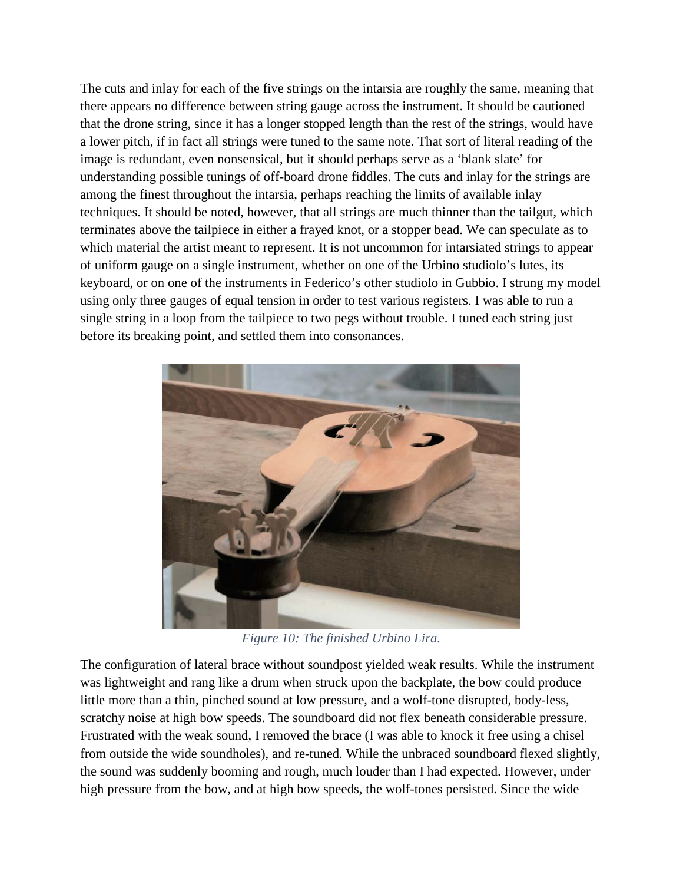The cuts and inlay for each of the five strings on the intarsia are roughly the same, meaning that there appears no difference between string gauge across the instrument. It should be cautioned that the drone string, since it has a longer stopped length than the rest of the strings, would have a lower pitch, if in fact all strings were tuned to the same note. That sort of literal reading of the image is redundant, even nonsensical, but it should perhaps serve as a 'blank slate' for understanding possible tunings of off-board drone fiddles. The cuts and inlay for the strings are among the finest throughout the intarsia, perhaps reaching the limits of available inlay techniques. It should be noted, however, that all strings are much thinner than the tailgut, which terminates above the tailpiece in either a frayed knot, or a stopper bead. We can speculate as to which material the artist meant to represent. It is not uncommon for intarsiated strings to appear of uniform gauge on a single instrument, whether on one of the Urbino studiolo's lutes, its keyboard, or on one of the instruments in Federico's other studiolo in Gubbio. I strung my model using only three gauges of equal tension in order to test various registers. I was able to run a single string in a loop from the tailpiece to two pegs without trouble. I tuned each string just before its breaking point, and settled them into consonances.



*Figure 10: The finished Urbino Lira.*

The configuration of lateral brace without soundpost yielded weak results. While the instrument was lightweight and rang like a drum when struck upon the backplate, the bow could produce little more than a thin, pinched sound at low pressure, and a wolf-tone disrupted, body-less, scratchy noise at high bow speeds. The soundboard did not flex beneath considerable pressure. Frustrated with the weak sound, I removed the brace (I was able to knock it free using a chisel from outside the wide soundholes), and re-tuned. While the unbraced soundboard flexed slightly, the sound was suddenly booming and rough, much louder than I had expected. However, under high pressure from the bow, and at high bow speeds, the wolf-tones persisted. Since the wide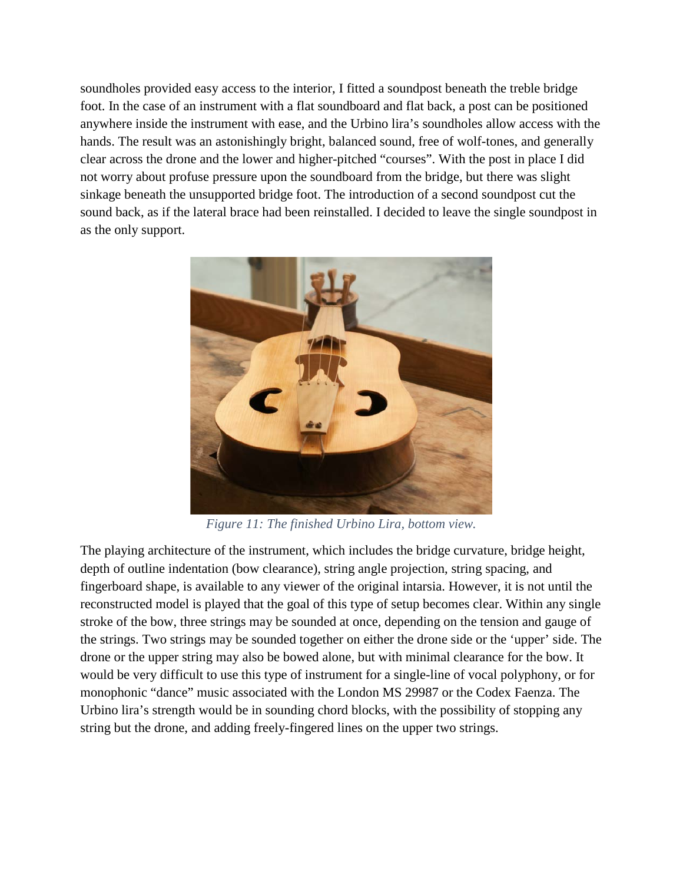soundholes provided easy access to the interior, I fitted a soundpost beneath the treble bridge foot. In the case of an instrument with a flat soundboard and flat back, a post can be positioned anywhere inside the instrument with ease, and the Urbino lira's soundholes allow access with the hands. The result was an astonishingly bright, balanced sound, free of wolf-tones, and generally clear across the drone and the lower and higher-pitched "courses". With the post in place I did not worry about profuse pressure upon the soundboard from the bridge, but there was slight sinkage beneath the unsupported bridge foot. The introduction of a second soundpost cut the sound back, as if the lateral brace had been reinstalled. I decided to leave the single soundpost in as the only support.



*Figure 11: The finished Urbino Lira, bottom view.*

The playing architecture of the instrument, which includes the bridge curvature, bridge height, depth of outline indentation (bow clearance), string angle projection, string spacing, and fingerboard shape, is available to any viewer of the original intarsia. However, it is not until the reconstructed model is played that the goal of this type of setup becomes clear. Within any single stroke of the bow, three strings may be sounded at once, depending on the tension and gauge of the strings. Two strings may be sounded together on either the drone side or the 'upper' side. The drone or the upper string may also be bowed alone, but with minimal clearance for the bow. It would be very difficult to use this type of instrument for a single-line of vocal polyphony, or for monophonic "dance" music associated with the London MS 29987 or the Codex Faenza. The Urbino lira's strength would be in sounding chord blocks, with the possibility of stopping any string but the drone, and adding freely-fingered lines on the upper two strings.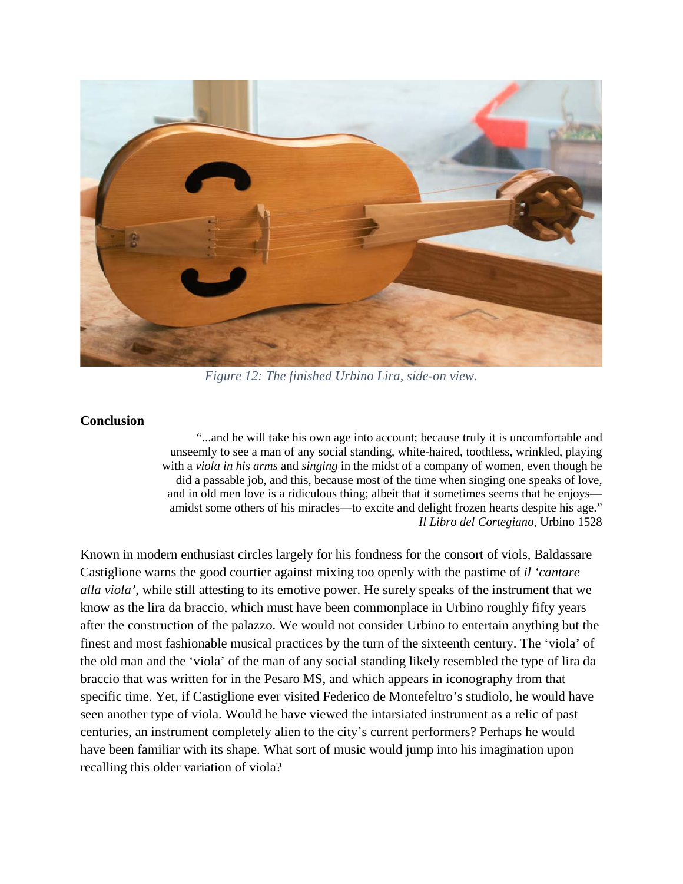

*Figure 12: The finished Urbino Lira, side-on view.*

## **Conclusion**

"...and he will take his own age into account; because truly it is uncomfortable and unseemly to see a man of any social standing, white-haired, toothless, wrinkled, playing with a *viola in his arms* and *singing* in the midst of a company of women, even though he did a passable job, and this, because most of the time when singing one speaks of love, and in old men love is a ridiculous thing; albeit that it sometimes seems that he enjoys amidst some others of his miracles—to excite and delight frozen hearts despite his age." *Il Libro del Cortegiano,* Urbino 1528

Known in modern enthusiast circles largely for his fondness for the consort of viols, Baldassare Castiglione warns the good courtier against mixing too openly with the pastime of *il 'cantare alla viola'*, while still attesting to its emotive power. He surely speaks of the instrument that we know as the lira da braccio, which must have been commonplace in Urbino roughly fifty years after the construction of the palazzo. We would not consider Urbino to entertain anything but the finest and most fashionable musical practices by the turn of the sixteenth century. The 'viola' of the old man and the 'viola' of the man of any social standing likely resembled the type of lira da braccio that was written for in the Pesaro MS, and which appears in iconography from that specific time. Yet, if Castiglione ever visited Federico de Montefeltro's studiolo, he would have seen another type of viola. Would he have viewed the intarsiated instrument as a relic of past centuries, an instrument completely alien to the city's current performers? Perhaps he would have been familiar with its shape. What sort of music would jump into his imagination upon recalling this older variation of viola?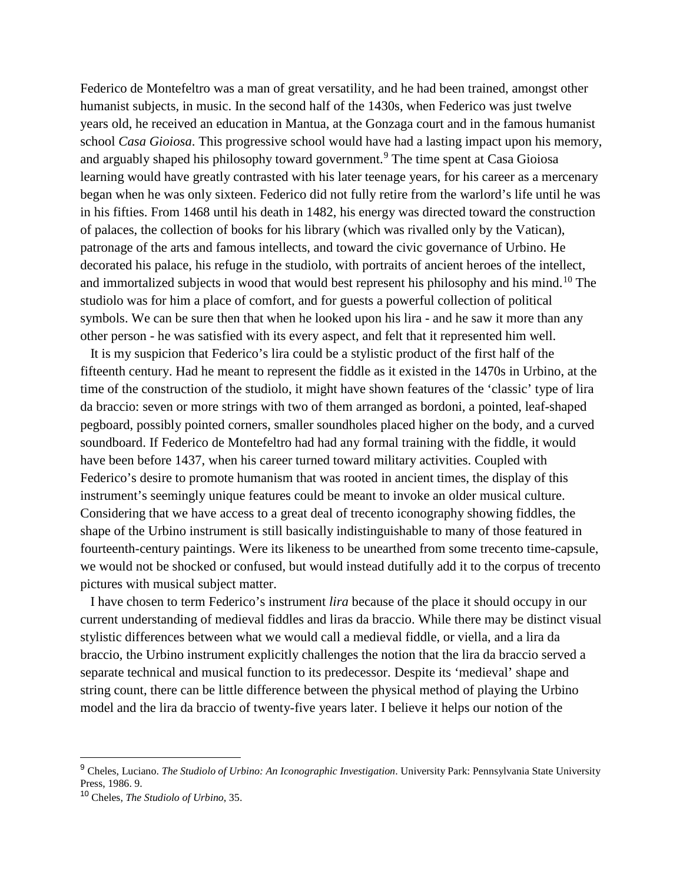Federico de Montefeltro was a man of great versatility, and he had been trained, amongst other humanist subjects, in music. In the second half of the 1430s, when Federico was just twelve years old, he received an education in Mantua, at the Gonzaga court and in the famous humanist school *Casa Gioiosa*. This progressive school would have had a lasting impact upon his memory, and arguably shaped his philosophy toward government.<sup>[9](#page-15-0)</sup> The time spent at Casa Gioiosa learning would have greatly contrasted with his later teenage years, for his career as a mercenary began when he was only sixteen. Federico did not fully retire from the warlord's life until he was in his fifties. From 1468 until his death in 1482, his energy was directed toward the construction of palaces, the collection of books for his library (which was rivalled only by the Vatican), patronage of the arts and famous intellects, and toward the civic governance of Urbino. He decorated his palace, his refuge in the studiolo, with portraits of ancient heroes of the intellect, and immortalized subjects in wood that would best represent his philosophy and his mind.<sup>[10](#page-15-1)</sup> The studiolo was for him a place of comfort, and for guests a powerful collection of political symbols. We can be sure then that when he looked upon his lira - and he saw it more than any other person - he was satisfied with its every aspect, and felt that it represented him well.

 It is my suspicion that Federico's lira could be a stylistic product of the first half of the fifteenth century. Had he meant to represent the fiddle as it existed in the 1470s in Urbino, at the time of the construction of the studiolo, it might have shown features of the 'classic' type of lira da braccio: seven or more strings with two of them arranged as bordoni, a pointed, leaf-shaped pegboard, possibly pointed corners, smaller soundholes placed higher on the body, and a curved soundboard. If Federico de Montefeltro had had any formal training with the fiddle, it would have been before 1437, when his career turned toward military activities. Coupled with Federico's desire to promote humanism that was rooted in ancient times, the display of this instrument's seemingly unique features could be meant to invoke an older musical culture. Considering that we have access to a great deal of trecento iconography showing fiddles, the shape of the Urbino instrument is still basically indistinguishable to many of those featured in fourteenth-century paintings. Were its likeness to be unearthed from some trecento time-capsule, we would not be shocked or confused, but would instead dutifully add it to the corpus of trecento pictures with musical subject matter.

 I have chosen to term Federico's instrument *lira* because of the place it should occupy in our current understanding of medieval fiddles and liras da braccio. While there may be distinct visual stylistic differences between what we would call a medieval fiddle, or viella, and a lira da braccio, the Urbino instrument explicitly challenges the notion that the lira da braccio served a separate technical and musical function to its predecessor. Despite its 'medieval' shape and string count, there can be little difference between the physical method of playing the Urbino model and the lira da braccio of twenty-five years later. I believe it helps our notion of the

<span id="page-15-0"></span> <sup>9</sup> Cheles, Luciano. *The Studiolo of Urbino: An Iconographic Investigation*. University Park: Pennsylvania State University Press, 1986. 9.

<span id="page-15-1"></span><sup>10</sup> Cheles, *The Studiolo of Urbino*, 35.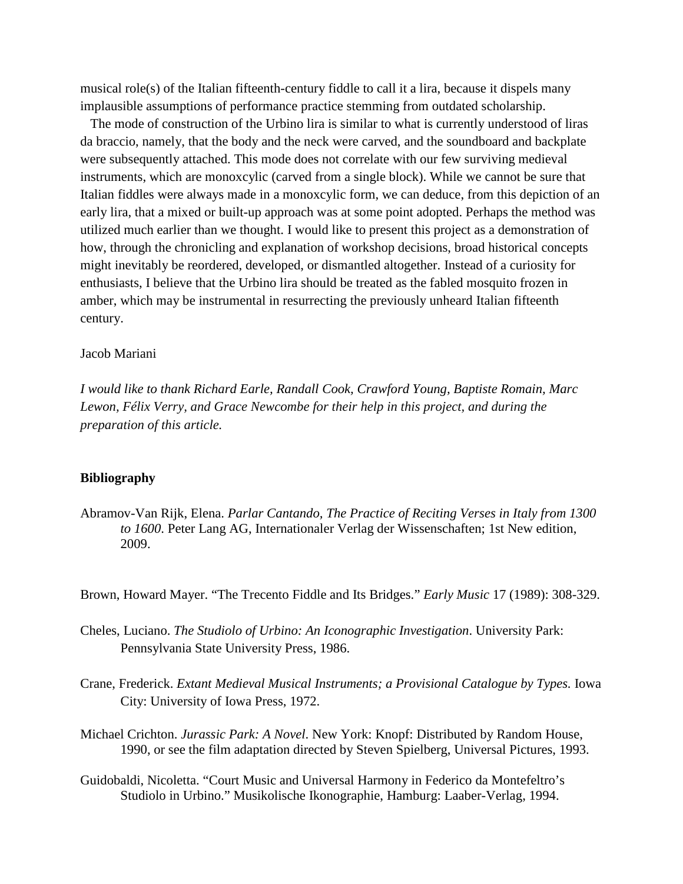musical role(s) of the Italian fifteenth-century fiddle to call it a lira, because it dispels many implausible assumptions of performance practice stemming from outdated scholarship.

 The mode of construction of the Urbino lira is similar to what is currently understood of liras da braccio, namely, that the body and the neck were carved, and the soundboard and backplate were subsequently attached. This mode does not correlate with our few surviving medieval instruments, which are monoxcylic (carved from a single block). While we cannot be sure that Italian fiddles were always made in a monoxcylic form, we can deduce, from this depiction of an early lira, that a mixed or built-up approach was at some point adopted. Perhaps the method was utilized much earlier than we thought. I would like to present this project as a demonstration of how, through the chronicling and explanation of workshop decisions, broad historical concepts might inevitably be reordered, developed, or dismantled altogether. Instead of a curiosity for enthusiasts, I believe that the Urbino lira should be treated as the fabled mosquito frozen in amber, which may be instrumental in resurrecting the previously unheard Italian fifteenth century.

#### Jacob Mariani

*I would like to thank Richard Earle, Randall Cook, Crawford Young, Baptiste Romain, Marc Lewon, Félix Verry, and Grace Newcombe for their help in this project, and during the preparation of this article.* 

### **Bibliography**

Abramov-Van Rijk, Elena. *Parlar Cantando, The Practice of Reciting Verses in Italy from 1300 to 1600*. Peter Lang AG, Internationaler Verlag der Wissenschaften; 1st New edition, 2009.

Brown, Howard Mayer. "The Trecento Fiddle and Its Bridges." *Early Music* 17 (1989): 308-329.

- Cheles, Luciano. *The Studiolo of Urbino: An Iconographic Investigation*. University Park: Pennsylvania State University Press, 1986.
- Crane, Frederick. *Extant Medieval Musical Instruments; a Provisional Catalogue by Types.* Iowa City: University of Iowa Press, 1972.
- Michael Crichton. *Jurassic Park: A Novel*. New York: Knopf: Distributed by Random House, 1990, or see the film adaptation directed by Steven Spielberg, Universal Pictures, 1993.
- Guidobaldi, Nicoletta. "Court Music and Universal Harmony in Federico da Montefeltro's Studiolo in Urbino." Musikolische Ikonographie, Hamburg: Laaber-Verlag, 1994.